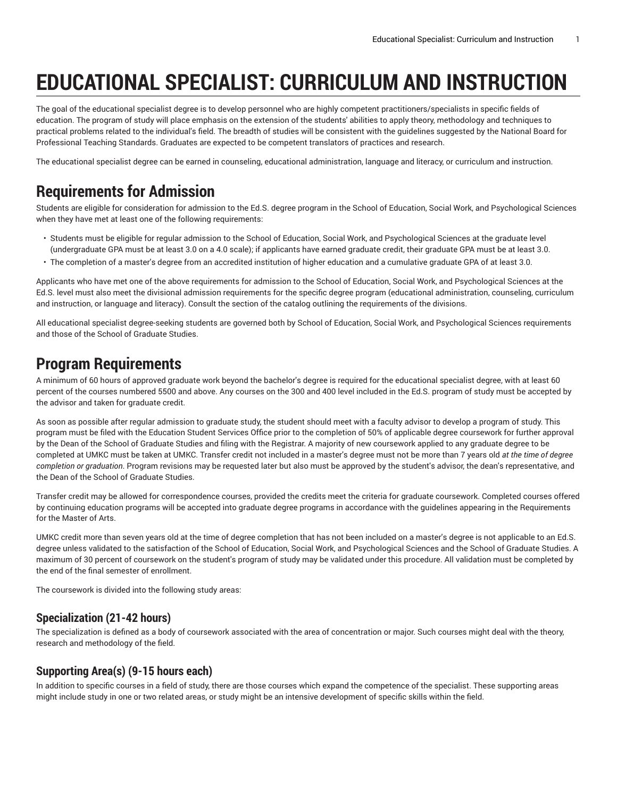# **EDUCATIONAL SPECIALIST: CURRICULUM AND INSTRUCTION**

The goal of the educational specialist degree is to develop personnel who are highly competent practitioners/specialists in specific fields of education. The program of study will place emphasis on the extension of the students' abilities to apply theory, methodology and techniques to practical problems related to the individual's field. The breadth of studies will be consistent with the guidelines suggested by the National Board for Professional Teaching Standards. Graduates are expected to be competent translators of practices and research.

The educational specialist degree can be earned in counseling, educational administration, language and literacy, or curriculum and instruction.

## **Requirements for Admission**

Students are eligible for consideration for admission to the Ed.S. degree program in the School of Education, Social Work, and Psychological Sciences when they have met at least one of the following requirements:

- Students must be eligible for regular admission to the School of Education, Social Work, and Psychological Sciences at the graduate level (undergraduate GPA must be at least 3.0 on a 4.0 scale); if applicants have earned graduate credit, their graduate GPA must be at least 3.0.
- The completion of a master's degree from an accredited institution of higher education and a cumulative graduate GPA of at least 3.0.

Applicants who have met one of the above requirements for admission to the School of Education, Social Work, and Psychological Sciences at the Ed.S. level must also meet the divisional admission requirements for the specific degree program (educational administration, counseling, curriculum and instruction, or language and literacy). Consult the section of the catalog outlining the requirements of the divisions.

All educational specialist degree-seeking students are governed both by School of Education, Social Work, and Psychological Sciences requirements and those of the School of Graduate Studies.

## **Program Requirements**

A minimum of 60 hours of approved graduate work beyond the bachelor's degree is required for the educational specialist degree, with at least 60 percent of the courses numbered 5500 and above. Any courses on the 300 and 400 level included in the Ed.S. program of study must be accepted by the advisor and taken for graduate credit.

As soon as possible after regular admission to graduate study, the student should meet with a faculty advisor to develop a program of study. This program must be filed with the Education Student Services Office prior to the completion of 50% of applicable degree coursework for further approval by the Dean of the School of Graduate Studies and filing with the Registrar. A majority of new coursework applied to any graduate degree to be completed at UMKC must be taken at UMKC. Transfer credit not included in a master's degree must not be more than 7 years old *at the time of degree completion or graduation*. Program revisions may be requested later but also must be approved by the student's advisor, the dean's representative, and the Dean of the School of Graduate Studies.

Transfer credit may be allowed for correspondence courses, provided the credits meet the criteria for graduate coursework. Completed courses offered by continuing education programs will be accepted into graduate degree programs in accordance with the guidelines appearing in the Requirements for the Master of Arts.

UMKC credit more than seven years old at the time of degree completion that has not been included on a master's degree is not applicable to an Ed.S. degree unless validated to the satisfaction of the School of Education, Social Work, and Psychological Sciences and the School of Graduate Studies. A maximum of 30 percent of coursework on the student's program of study may be validated under this procedure. All validation must be completed by the end of the final semester of enrollment.

The coursework is divided into the following study areas:

### **Specialization (21-42 hours)**

The specialization is defined as a body of coursework associated with the area of concentration or major. Such courses might deal with the theory, research and methodology of the field.

#### **Supporting Area(s) (9-15 hours each)**

In addition to specific courses in a field of study, there are those courses which expand the competence of the specialist. These supporting areas might include study in one or two related areas, or study might be an intensive development of specific skills within the field.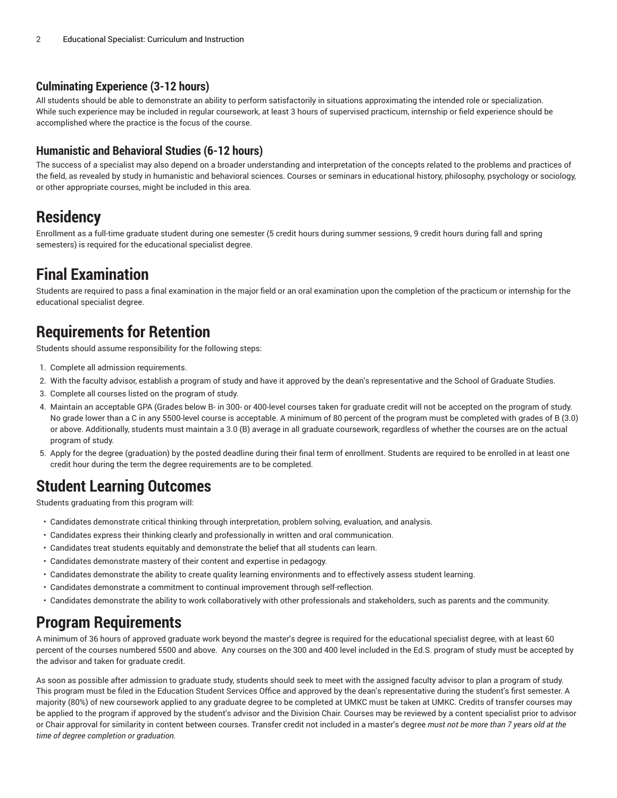#### **Culminating Experience (3-12 hours)**

All students should be able to demonstrate an ability to perform satisfactorily in situations approximating the intended role or specialization. While such experience may be included in regular coursework, at least 3 hours of supervised practicum, internship or field experience should be accomplished where the practice is the focus of the course.

### **Humanistic and Behavioral Studies (6-12 hours)**

The success of a specialist may also depend on a broader understanding and interpretation of the concepts related to the problems and practices of the field, as revealed by study in humanistic and behavioral sciences. Courses or seminars in educational history, philosophy, psychology or sociology, or other appropriate courses, might be included in this area.

# **Residency**

Enrollment as a full-time graduate student during one semester (5 credit hours during summer sessions, 9 credit hours during fall and spring semesters) is required for the educational specialist degree.

# **Final Examination**

Students are required to pass a final examination in the major field or an oral examination upon the completion of the practicum or internship for the educational specialist degree.

# **Requirements for Retention**

Students should assume responsibility for the following steps:

- 1. Complete all admission requirements.
- 2. With the faculty advisor, establish a program of study and have it approved by the dean's representative and the School of Graduate Studies.
- 3. Complete all courses listed on the program of study.
- 4. Maintain an acceptable GPA (Grades below B- in 300- or 400-level courses taken for graduate credit will not be accepted on the program of study. No grade lower than a C in any 5500-level course is acceptable. A minimum of 80 percent of the program must be completed with grades of B (3.0) or above. Additionally, students must maintain a 3.0 (B) average in all graduate coursework, regardless of whether the courses are on the actual program of study.
- 5. Apply for the degree (graduation) by the posted deadline during their final term of enrollment. Students are required to be enrolled in at least one credit hour during the term the degree requirements are to be completed.

# **Student Learning Outcomes**

Students graduating from this program will:

- Candidates demonstrate critical thinking through interpretation, problem solving, evaluation, and analysis.
- Candidates express their thinking clearly and professionally in written and oral communication.
- Candidates treat students equitably and demonstrate the belief that all students can learn.
- Candidates demonstrate mastery of their content and expertise in pedagogy.
- Candidates demonstrate the ability to create quality learning environments and to effectively assess student learning.
- Candidates demonstrate a commitment to continual improvement through self-reflection.
- Candidates demonstrate the ability to work collaboratively with other professionals and stakeholders, such as parents and the community.

# **Program Requirements**

A minimum of 36 hours of approved graduate work beyond the master's degree is required for the educational specialist degree, with at least 60 percent of the courses numbered 5500 and above. Any courses on the 300 and 400 level included in the Ed.S. program of study must be accepted by the advisor and taken for graduate credit.

As soon as possible after admission to graduate study, students should seek to meet with the assigned faculty advisor to plan a program of study. This program must be filed in the Education Student Services Office and approved by the dean's representative during the student's first semester. A majority (80%) of new coursework applied to any graduate degree to be completed at UMKC must be taken at UMKC. Credits of transfer courses may be applied to the program if approved by the student's advisor and the Division Chair. Courses may be reviewed by a content specialist prior to advisor or Chair approval for similarity in content between courses. Transfer credit not included in a master's degree *must not be more than 7 years old at the time of degree completion or graduation.*